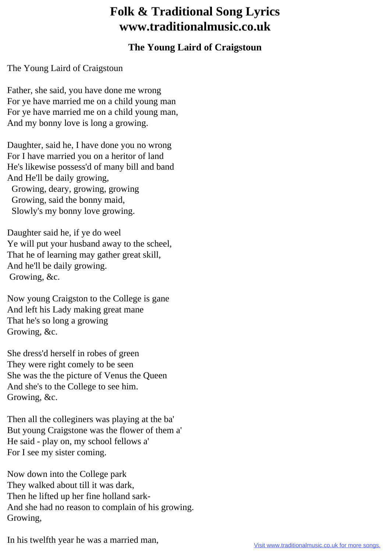## **Folk & Traditional Song Lyrics www.traditionalmusic.co.uk**

## **The Young Laird of Craigstoun**

The Young Laird of Craigstoun

Father, she said, you have done me wrong For ye have married me on a child young man For ye have married me on a child young man, And my bonny love is long a growing.

Daughter, said he, I have done you no wrong For I have married you on a heritor of land He's likewise possess'd of many bill and band And He'll be daily growing, Growing, deary, growing, growing Growing, said the bonny maid, Slowly's my bonny love growing.

Daughter said he, if ye do weel Ye will put your husband away to the scheel, That he of learning may gather great skill, And he'll be daily growing. Growing, &c.

Now young Craigston to the College is gane And left his Lady making great mane That he's so long a growing Growing, &c.

She dress'd herself in robes of green They were right comely to be seen She was the the picture of Venus the Queen And she's to the College to see him. Growing, &c.

Then all the colleginers was playing at the ba' But young Craigstone was the flower of them a' He said - play on, my school fellows a' For I see my sister coming.

Now down into the College park They walked about till it was dark, Then he lifted up her fine holland sark-And she had no reason to complain of his growing. Growing,

In his twelfth year he was a married man,